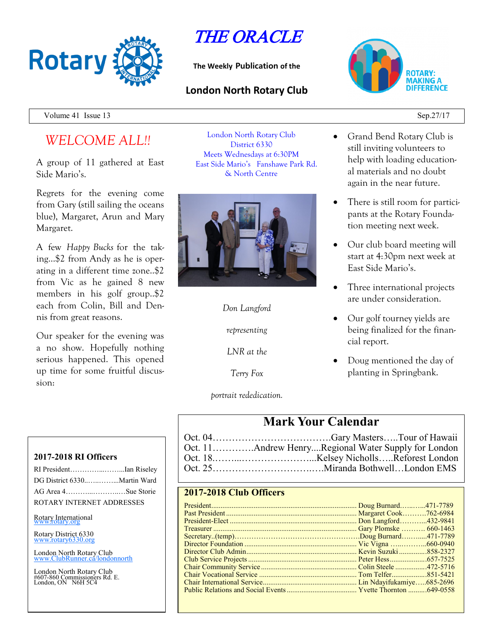

THE ORACLE

**The Weekly Publication of the**

### **London North Rotary Club**



Volume 41 Issue  $13$  Sep.27/17

# *WELCOME ALL!!*

A group of 11 gathered at East Side Mario's.

Regrets for the evening come from Gary (still sailing the oceans blue), Margaret, Arun and Mary Margaret.

A few *Happy Bucks* for the taking…\$2 from Andy as he is operating in a different time zone..\$2 from Vic as he gained 8 new members in his golf group..\$2 each from Colin, Bill and Dennis from great reasons.

Our speaker for the evening was a no show. Hopefully nothing serious happened. This opened up time for some fruitful discussion:

London North Rotary Club District 6330 Meets Wednesdays at 6:30PM East Side Mario's Fanshawe Park Rd. & North Centre



*Don Langford*

*representing*

*LNR at the*

*Terry Fox*

*portrait rededication.*

- Grand Bend Rotary Club is still inviting volunteers to help with loading educational materials and no doubt again in the near future.
- There is still room for participants at the Rotary Foundation meeting next week.
- Our club board meeting will start at 4:30pm next week at East Side Mario's.
- Three international projects are under consideration.
- Our golf tourney yields are being finalized for the financial report.
- Doug mentioned the day of planting in Springbank.

## **Mark Your Calendar**

### **2017-2018 Club Officers**

**2017-2018 RI Officers**

| RI PresidentIan Riseley   |  |
|---------------------------|--|
|                           |  |
|                           |  |
| ROTARY INTERNET ADDRESSES |  |

Rotary International

Rotary District 6330 [www.rotary6330.org](http://www.rotary6330.org/)

London North Rotary Club IubRunner.ca/londonnorth

London North Rotary Club #607-860 Commissioners Rd. E. London, ON N6H 5C4